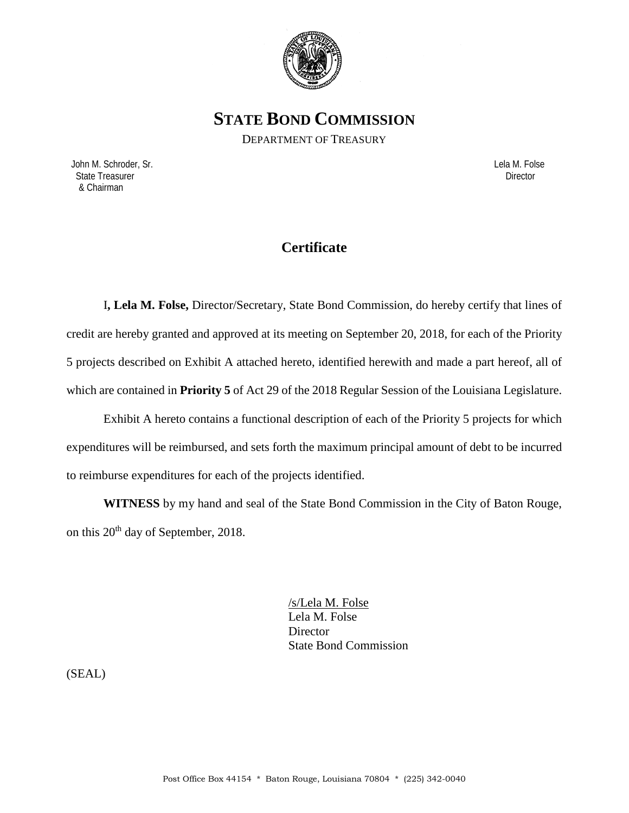

**STATE BOND COMMISSION**

DEPARTMENT OF TREASURY

 John M. Schroder, Sr. Lela M. Folse State Treasurer Director Contractor Contractor Contractor Contractor Contractor Contractor Director & Chairman

# **Certificate**

I**, Lela M. Folse,** Director/Secretary, State Bond Commission, do hereby certify that lines of credit are hereby granted and approved at its meeting on September 20, 2018, for each of the Priority 5 projects described on Exhibit A attached hereto, identified herewith and made a part hereof, all of which are contained in **Priority 5** of Act 29 of the 2018 Regular Session of the Louisiana Legislature.

Exhibit A hereto contains a functional description of each of the Priority 5 projects for which expenditures will be reimbursed, and sets forth the maximum principal amount of debt to be incurred to reimburse expenditures for each of the projects identified.

**WITNESS** by my hand and seal of the State Bond Commission in the City of Baton Rouge, on this  $20^{th}$  day of September, 2018.

> /s/Lela M. Folse Lela M. Folse **Director** State Bond Commission

(SEAL)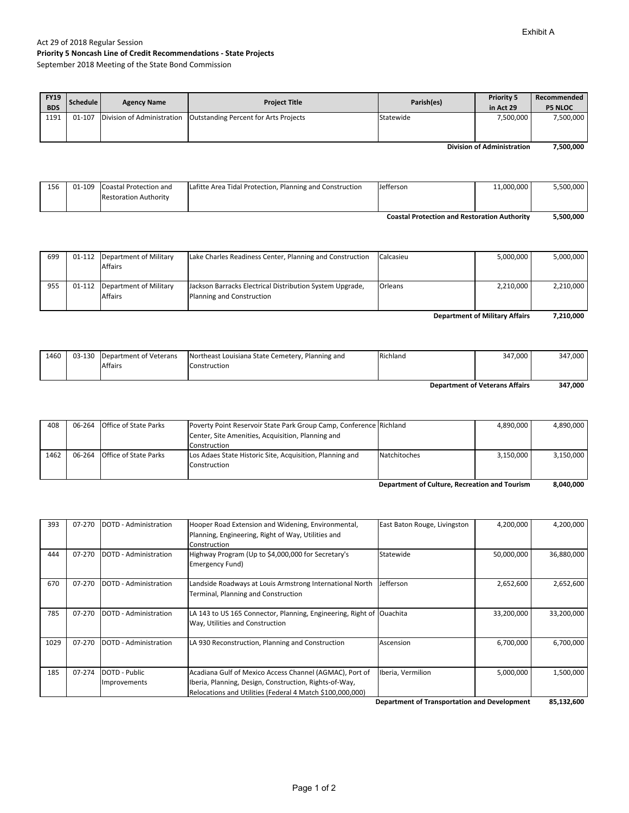#### Act 29 of 2018 Regular Session **Priority 5 Noncash Line of Credit Recommendations ‐ State Projects** September 2018 Meeting of the State Bond Commission

| <b>FY19</b><br><b>BDS</b>         | Schedule I | <b>Agency Name</b> | <b>Project Title</b>                                               | Parish(es) | <b>Priority 5</b><br>in Act 29 | Recommended<br><b>P5 NLOC</b> |
|-----------------------------------|------------|--------------------|--------------------------------------------------------------------|------------|--------------------------------|-------------------------------|
| 1191                              | 01-107     |                    | Division of Administration   Outstanding Percent for Arts Projects | Statewide  | 7.500.000                      | 7,500,000                     |
| <b>Division of Administration</b> |            |                    |                                                                    |            |                                | 7,500,000                     |

|     |                               |                                                          | <b>Coastal Protection and Restoration Authority</b> |            | 5,500,000 |
|-----|-------------------------------|----------------------------------------------------------|-----------------------------------------------------|------------|-----------|
|     | <b>Restoration Authority</b>  |                                                          |                                                     |            |           |
| 156 | 01-109 Coastal Protection and | Lafitte Area Tidal Protection, Planning and Construction | Jefferson                                           | 11.000.000 | 5,500,000 |
|     |                               |                                                          |                                                     |            |           |

| <b>Department of Military Affairs</b> |  |                                                   |                                                                                       |           | 7,210,000 |           |
|---------------------------------------|--|---------------------------------------------------|---------------------------------------------------------------------------------------|-----------|-----------|-----------|
| 955                                   |  | 01-112 Department of Military<br><b>Affairs</b>   | Jackson Barracks Electrical Distribution System Upgrade,<br>Planning and Construction | Orleans   | 2,210,000 | 2,210,000 |
| 699                                   |  | 01-112   Department of Military<br><b>Affairs</b> | Lake Charles Readiness Center, Planning and Construction                              | Calcasieu | 5.000.000 | 5,000,000 |

| 1460                                  |  | 03-130 Department of Veterans<br>Affairs | Northeast Louisiana State Cemetery, Planning and<br>Construction | Richland | 347,000 | 347,000 |
|---------------------------------------|--|------------------------------------------|------------------------------------------------------------------|----------|---------|---------|
| <b>Department of Veterans Affairs</b> |  |                                          |                                                                  |          | 347,000 |         |

| 408  | 06-264 | <b>Office of State Parks</b> | Poverty Point Reservoir State Park Group Camp, Conference Richland |              | 4.890.000 | 4.890.000     |
|------|--------|------------------------------|--------------------------------------------------------------------|--------------|-----------|---------------|
|      |        |                              | Center, Site Amenities, Acquisition, Planning and                  |              |           |               |
|      |        |                              | Construction                                                       |              |           |               |
| 1462 |        | 06-264 Office of State Parks | Los Adaes State Historic Site, Acquisition, Planning and           | Natchitoches | 3.150.000 | 3.150.000     |
|      |        |                              | Construction                                                       |              |           |               |
|      |        |                              |                                                                    |              |           |               |
|      |        |                              |                                                                    |              |           | <b>888888</b> |

**8,040,000 Department of Culture, Recreation and Tourism**

| 393  | 07-270 | DOTD - Administration | Hooper Road Extension and Widening, Environmental,<br>Planning, Engineering, Right of Way, Utilities and | East Baton Rouge, Livingston | 4,200,000  | 4,200,000  |
|------|--------|-----------------------|----------------------------------------------------------------------------------------------------------|------------------------------|------------|------------|
|      |        |                       | Construction                                                                                             |                              |            |            |
| 444  | 07-270 | DOTD - Administration | Highway Program (Up to \$4,000,000 for Secretary's                                                       | Statewide                    | 50,000,000 | 36,880,000 |
|      |        |                       | Emergency Fund)                                                                                          |                              |            |            |
| 670  | 07-270 | DOTD - Administration | Landside Roadways at Louis Armstrong International North                                                 | Jefferson                    | 2,652,600  | 2,652,600  |
|      |        |                       | Terminal, Planning and Construction                                                                      |                              |            |            |
|      |        |                       |                                                                                                          |                              |            |            |
| 785  | 07-270 | DOTD - Administration | LA 143 to US 165 Connector, Planning, Engineering, Right of Ouachita                                     |                              | 33,200,000 | 33,200,000 |
|      |        |                       | Way, Utilities and Construction                                                                          |                              |            |            |
|      |        |                       |                                                                                                          |                              |            |            |
| 1029 | 07-270 | DOTD - Administration | LA 930 Reconstruction, Planning and Construction                                                         | Ascension                    | 6,700,000  | 6,700,000  |
|      |        |                       |                                                                                                          |                              |            |            |
|      |        |                       |                                                                                                          |                              |            |            |
| 185  | 07-274 | DOTD - Public         | Acadiana Gulf of Mexico Access Channel (AGMAC), Port of                                                  | Iberia, Vermilion            | 5,000,000  | 1,500,000  |
|      |        | Improvements          | Iberia, Planning, Design, Construction, Rights-of-Way,                                                   |                              |            |            |
|      |        |                       | Relocations and Utilities (Federal 4 Match \$100,000,000)                                                |                              |            |            |

**85,132,600 Department of Transportation and Development**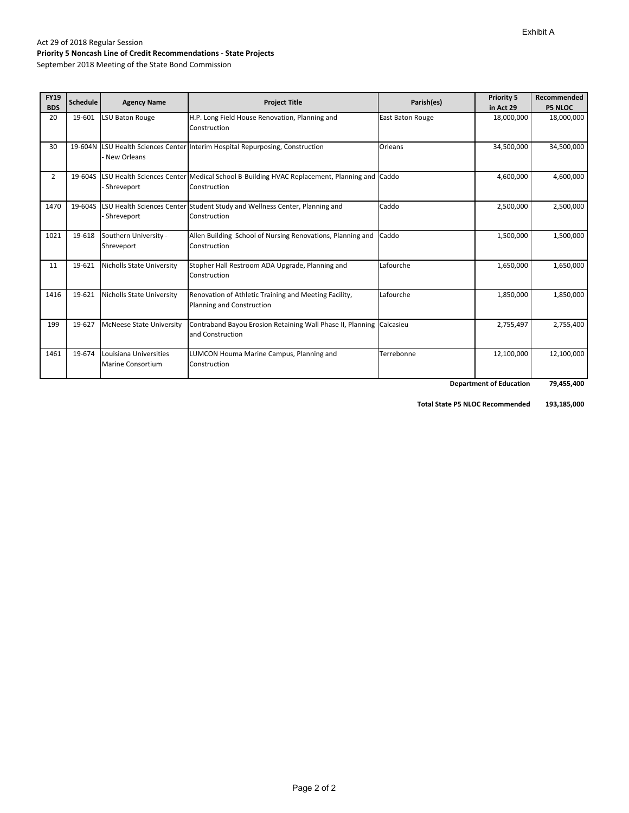| <b>FY19</b><br><b>BDS</b> | <b>Schedule</b> | <b>Agency Name</b>                          | <b>Project Title</b>                                                                                      | Parish(es)       | <b>Priority 5</b><br>in Act 29 | Recommended<br><b>P5 NLOC</b> |
|---------------------------|-----------------|---------------------------------------------|-----------------------------------------------------------------------------------------------------------|------------------|--------------------------------|-------------------------------|
| 20                        | 19-601          | LSU Baton Rouge                             | H.P. Long Field House Renovation, Planning and<br>Construction                                            | East Baton Rouge | 18,000,000                     | 18,000,000                    |
| 30                        | 19-604N         | New Orleans                                 | LSU Health Sciences Center Interim Hospital Repurposing, Construction                                     | Orleans          | 34,500,000                     | 34,500,000                    |
| 2                         | 19-604S         | Shreveport                                  | LSU Health Sciences Center Medical School B-Building HVAC Replacement, Planning and Caddo<br>Construction |                  | 4,600,000                      | 4,600,000                     |
| 1470                      | 19-604S         | Shreveport                                  | LSU Health Sciences Center Student Study and Wellness Center, Planning and<br>Construction                | Caddo            | 2,500,000                      | 2,500,000                     |
| 1021                      | 19-618          | Southern University -<br>Shreveport         | Allen Building School of Nursing Renovations, Planning and Caddo<br>Construction                          |                  | 1,500,000                      | 1,500,000                     |
| 11                        | 19-621          | <b>Nicholls State University</b>            | Stopher Hall Restroom ADA Upgrade, Planning and<br>Construction                                           | Lafourche        | 1,650,000                      | 1,650,000                     |
| 1416                      | 19-621          | <b>Nicholls State University</b>            | Renovation of Athletic Training and Meeting Facility,<br>Planning and Construction                        | Lafourche        | 1,850,000                      | 1,850,000                     |
| 199                       | 19-627          | <b>McNeese State University</b>             | Contraband Bayou Erosion Retaining Wall Phase II, Planning Calcasieu<br>and Construction                  |                  | 2,755,497                      | 2,755,400                     |
| 1461                      | 19-674          | Louisiana Universities<br>Marine Consortium | LUMCON Houma Marine Campus, Planning and<br>Construction                                                  | Terrebonne       | 12,100,000                     | 12,100,000                    |
|                           |                 |                                             |                                                                                                           |                  | <b>Department of Education</b> | 79,455,400                    |

 **193,185,000 Total State P5 NLOC Recommended**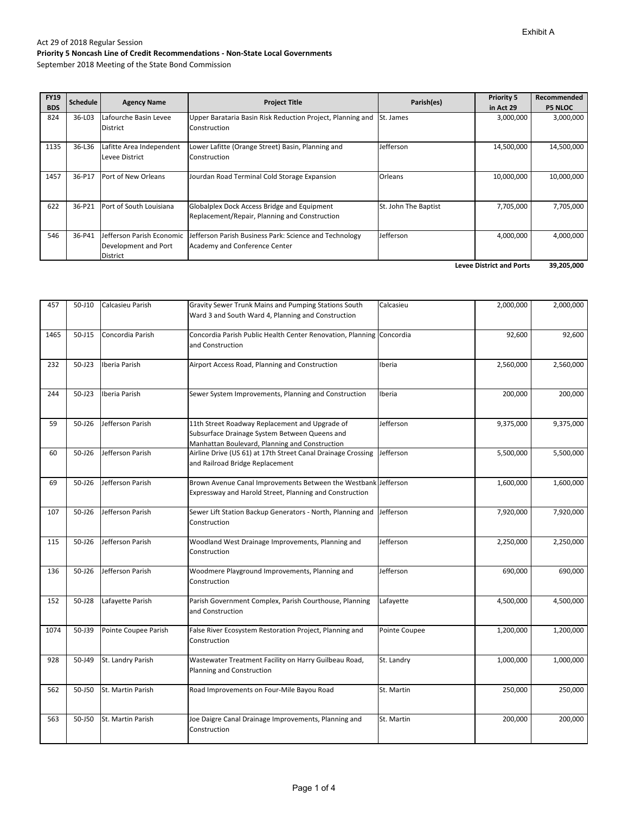September 2018 Meeting of the State Bond Commission

| <b>FY19</b><br><b>BDS</b>       | <b>Schedule</b> | <b>Agency Name</b>                                                   | <b>Project Title</b>                                                                         | Parish(es)           | <b>Priority 5</b><br>in Act 29 | Recommended<br><b>P5 NLOC</b> |
|---------------------------------|-----------------|----------------------------------------------------------------------|----------------------------------------------------------------------------------------------|----------------------|--------------------------------|-------------------------------|
| 824                             | 36-L03          | Lafourche Basin Levee<br><b>District</b>                             | Upper Barataria Basin Risk Reduction Project, Planning and<br>Construction                   | <b>St. James</b>     | 3,000,000                      | 3,000,000                     |
| 1135                            | 36-L36          | Lafitte Area Independent<br>Levee District                           | Lower Lafitte (Orange Street) Basin, Planning and<br>Construction                            | Jefferson            | 14,500,000                     | 14,500,000                    |
| 1457                            | 36-P17          | Port of New Orleans                                                  | Jourdan Road Terminal Cold Storage Expansion                                                 | Orleans              | 10,000,000                     | 10,000,000                    |
| 622                             | 36-P21          | Port of South Louisiana                                              | Globalplex Dock Access Bridge and Equipment<br>Replacement/Repair, Planning and Construction | St. John The Baptist | 7,705,000                      | 7,705,000                     |
| 546                             | 36-P41          | Jefferson Parish Economic<br>Development and Port<br><b>District</b> | Jefferson Parish Business Park: Science and Technology<br>Academy and Conference Center      | Jefferson            | 4,000,000                      | 4,000,000                     |
| <b>Levee District and Ports</b> |                 |                                                                      |                                                                                              |                      |                                |                               |

| 457  | 50-J10     | Calcasieu Parish     | Gravity Sewer Trunk Mains and Pumping Stations South<br>Ward 3 and South Ward 4, Planning and Construction                                        | Calcasieu     | 2,000,000 | 2,000,000 |
|------|------------|----------------------|---------------------------------------------------------------------------------------------------------------------------------------------------|---------------|-----------|-----------|
| 1465 | 50-J15     | Concordia Parish     | Concordia Parish Public Health Center Renovation, Planning Concordia<br>and Construction                                                          |               | 92,600    | 92,600    |
| 232  | $50 - 123$ | Iberia Parish        | Airport Access Road, Planning and Construction                                                                                                    | Iberia        | 2,560,000 | 2,560,000 |
| 244  | 50-J23     | Iberia Parish        | Sewer System Improvements, Planning and Construction                                                                                              | Iberia        | 200,000   | 200,000   |
| 59   | 50-J26     | Jefferson Parish     | 11th Street Roadway Replacement and Upgrade of<br>Subsurface Drainage System Between Queens and<br>Manhattan Boulevard, Planning and Construction | Jefferson     | 9,375,000 | 9,375,000 |
| 60   | 50-J26     | Jefferson Parish     | Airline Drive (US 61) at 17th Street Canal Drainage Crossing<br>and Railroad Bridge Replacement                                                   | Jefferson     | 5,500,000 | 5,500,000 |
| 69   | 50-J26     | Jefferson Parish     | Brown Avenue Canal Improvements Between the Westbank Jefferson<br>Expressway and Harold Street, Planning and Construction                         |               | 1,600,000 | 1,600,000 |
| 107  | 50-J26     | Jefferson Parish     | Sewer Lift Station Backup Generators - North, Planning and<br>Construction                                                                        | Jefferson     | 7,920,000 | 7,920,000 |
| 115  | 50-J26     | Jefferson Parish     | Woodland West Drainage Improvements, Planning and<br>Construction                                                                                 | Jefferson     | 2,250,000 | 2,250,000 |
| 136  | 50-J26     | Jefferson Parish     | Woodmere Playground Improvements, Planning and<br>Construction                                                                                    | Jefferson     | 690,000   | 690,000   |
| 152  | 50-J28     | Lafayette Parish     | Parish Government Complex, Parish Courthouse, Planning<br>and Construction                                                                        | Lafayette     | 4,500,000 | 4,500,000 |
| 1074 | 50-J39     | Pointe Coupee Parish | False River Ecosystem Restoration Project, Planning and<br>Construction                                                                           | Pointe Coupee | 1,200,000 | 1,200,000 |
| 928  | 50-J49     | St. Landry Parish    | Wastewater Treatment Facility on Harry Guilbeau Road,<br>Planning and Construction                                                                | St. Landry    | 1,000,000 | 1,000,000 |
| 562  | 50-J50     | St. Martin Parish    | Road Improvements on Four-Mile Bayou Road                                                                                                         | St. Martin    | 250,000   | 250,000   |
| 563  | 50-J50     | St. Martin Parish    | Joe Daigre Canal Drainage Improvements, Planning and<br>Construction                                                                              | St. Martin    | 200,000   | 200,000   |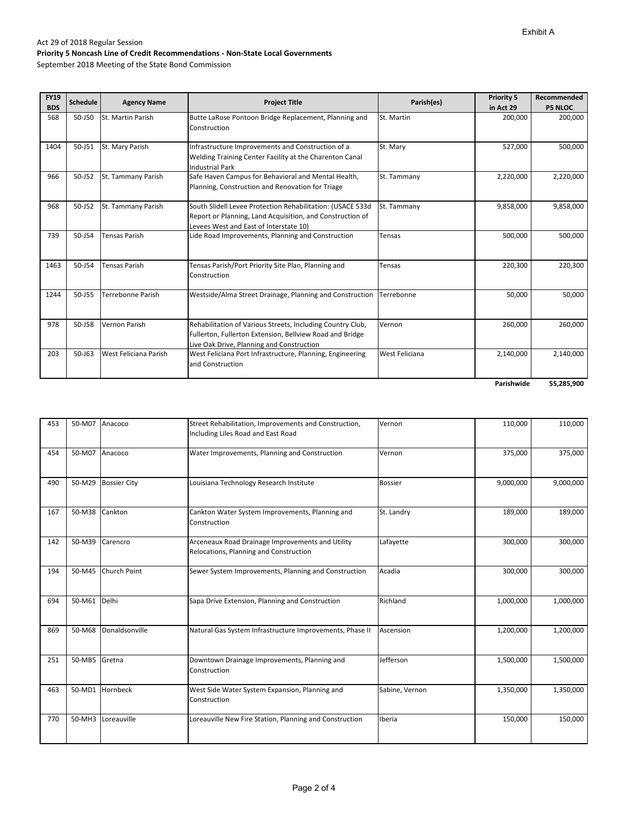September 2018 Meeting of the State Bond Commission

| <b>FY19</b><br><b>BDS</b> | <b>Schedule</b> | <b>Agency Name</b>    | <b>Project Title</b>                                                                                                                                                | Parish(es)     | <b>Priority 5</b><br>in Act 29 | Recommended<br><b>P5 NLOC</b> |
|---------------------------|-----------------|-----------------------|---------------------------------------------------------------------------------------------------------------------------------------------------------------------|----------------|--------------------------------|-------------------------------|
| 568                       | 50-J50          | St. Martin Parish     | Butte LaRose Pontoon Bridge Replacement, Planning and<br>Construction                                                                                               | St. Martin     | 200,000                        | 200,000                       |
| 1404                      | 50-J51          | St. Mary Parish       | Infrastructure Improvements and Construction of a<br>Welding Training Center Facility at the Charenton Canal<br><b>Industrial Park</b>                              | St. Mary       | 527,000                        | 500,000                       |
| 966                       | $50 - 152$      | St. Tammany Parish    | Safe Haven Campus for Behavioral and Mental Health,<br>Planning, Construction and Renovation for Triage                                                             | St. Tammany    | 2,220,000                      | 2,220,000                     |
| 968                       | $50 - 152$      | St. Tammany Parish    | South Slidell Levee Protection Rehabilitation: (USACE 533d<br>Report or Planning, Land Acquisition, and Construction of<br>Levees West and East of Interstate 10)   | St. Tammany    | 9,858,000                      | 9,858,000                     |
| 739                       | 50-J54          | <b>Tensas Parish</b>  | Lide Road Improvements, Planning and Construction                                                                                                                   | Tensas         | 500,000                        | 500,000                       |
| 1463                      | 50-J54          | <b>Tensas Parish</b>  | Tensas Parish/Port Priority Site Plan, Planning and<br>Construction                                                                                                 | Tensas         | 220,300                        | 220,300                       |
| 1244                      | 50-J55          | Terrebonne Parish     | Westside/Alma Street Drainage, Planning and Construction                                                                                                            | Terrebonne     | 50,000                         | 50,000                        |
| 978                       | 50-J58          | Vernon Parish         | Rehabilitation of Various Streets, Including Country Club,<br>Fullerton, Fullerton Extension, Bellview Road and Bridge<br>Live Oak Drive, Planning and Construction | Vernon         | 260,000                        | 260,000                       |
| 203                       | $50 - 163$      | West Feliciana Parish | West Feliciana Port Infrastructure, Planning, Engineering<br>and Construction                                                                                       | West Feliciana | 2,140,000                      | 2,140,000                     |
|                           |                 |                       |                                                                                                                                                                     |                | Parishwide                     | 55,285,900                    |

| 453 | 50-M07 Anacoco |                     | Street Rehabilitation, Improvements and Construction,<br>Including Liles Road and East Road | Vernon         | 110,000   | 110,000   |
|-----|----------------|---------------------|---------------------------------------------------------------------------------------------|----------------|-----------|-----------|
| 454 | 50-M07         | Anacoco             | Water Improvements, Planning and Construction                                               | Vernon         | 375,000   | 375,000   |
| 490 | 50-M29         | <b>Bossier City</b> | Louisiana Technology Research Institute                                                     | <b>Bossier</b> | 9,000,000 | 9,000,000 |
| 167 | 50-M38         | Cankton             | Cankton Water System Improvements, Planning and<br>Construction                             | St. Landry     | 189,000   | 189,000   |
| 142 | 50-M39         | Carencro            | Arceneaux Road Drainage Improvements and Utility<br>Relocations, Planning and Construction  | Lafayette      | 300,000   | 300,000   |
| 194 | 50-M45         | Church Point        | Sewer System Improvements, Planning and Construction                                        | Acadia         | 300,000   | 300,000   |
| 694 | 50-M61         | Delhi               | Sapa Drive Extension, Planning and Construction                                             | Richland       | 1,000,000 | 1,000,000 |
| 869 | 50-M68         | Donaldsonville      | Natural Gas System Infrastructure Improvements, Phase II                                    | Ascension      | 1,200,000 | 1,200,000 |
| 251 | 50-MB5 Gretna  |                     | Downtown Drainage Improvements, Planning and<br>Construction                                | Jefferson      | 1,500,000 | 1,500,000 |
| 463 | 50-MD1         | Hornbeck            | West Side Water System Expansion, Planning and<br>Construction                              | Sabine, Vernon | 1,350,000 | 1,350,000 |
| 770 |                | 50-MH3 Loreauville  | Loreauville New Fire Station, Planning and Construction                                     | Iberia         | 150,000   | 150,000   |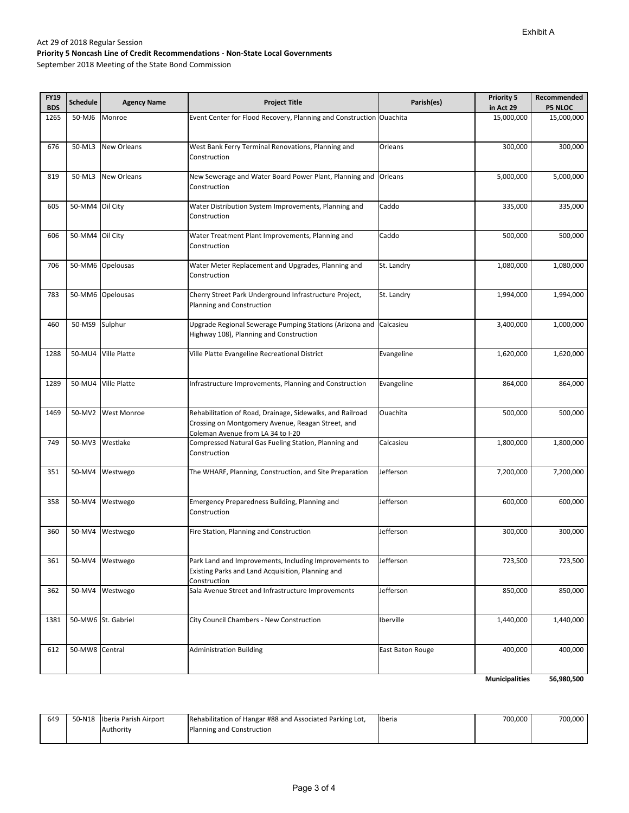September 2018 Meeting of the State Bond Commission

| <b>FY19</b><br><b>BDS</b> | <b>Schedule</b> | <b>Agency Name</b> | <b>Project Title</b>                                                                                                                                | Parish(es)       | <b>Priority 5</b><br>in Act 29 | Recommended<br><b>P5 NLOC</b> |
|---------------------------|-----------------|--------------------|-----------------------------------------------------------------------------------------------------------------------------------------------------|------------------|--------------------------------|-------------------------------|
| 1265                      | 50-MJ6          | Monroe             | Event Center for Flood Recovery, Planning and Construction Ouachita                                                                                 |                  | 15,000,000                     | 15,000,000                    |
| 676                       | 50-ML3          | New Orleans        | West Bank Ferry Terminal Renovations, Planning and<br>Construction                                                                                  | Orleans          | 300,000                        | 300,000                       |
| 819                       | 50-ML3          | <b>New Orleans</b> | New Sewerage and Water Board Power Plant, Planning and<br>Construction                                                                              | Orleans          | 5,000,000                      | 5,000,000                     |
| 605                       | 50-MM4          | Oil City           | Water Distribution System Improvements, Planning and<br>Construction                                                                                | Caddo            | 335,000                        | 335,000                       |
| 606                       | 50-MM4          | Oil City           | Water Treatment Plant Improvements, Planning and<br>Construction                                                                                    | Caddo            | 500,000                        | 500,000                       |
| 706                       |                 | 50-MM6 Opelousas   | Water Meter Replacement and Upgrades, Planning and<br>Construction                                                                                  | St. Landry       | 1,080,000                      | 1,080,000                     |
| 783                       |                 | 50-MM6 Opelousas   | Cherry Street Park Underground Infrastructure Project,<br>Planning and Construction                                                                 | St. Landry       | 1,994,000                      | 1,994,000                     |
| 460                       | 50-MS9          | Sulphur            | Upgrade Regional Sewerage Pumping Stations (Arizona and<br>Highway 108), Planning and Construction                                                  | Calcasieu        | 3,400,000                      | 1,000,000                     |
| 1288                      | 50-MU4          | Ville Platte       | Ville Platte Evangeline Recreational District                                                                                                       | Evangeline       | 1,620,000                      | 1,620,000                     |
| 1289                      | 50-MU4          | Ville Platte       | Infrastructure Improvements, Planning and Construction                                                                                              | Evangeline       | 864,000                        | 864,000                       |
| 1469                      | 50-MV2          | West Monroe        | Rehabilitation of Road, Drainage, Sidewalks, and Railroad<br>Crossing on Montgomery Avenue, Reagan Street, and<br>Coleman Avenue from LA 34 to I-20 | Ouachita         | 500,000                        | 500,000                       |
| 749                       | 50-MV3          | Westlake           | Compressed Natural Gas Fueling Station, Planning and<br>Construction                                                                                | Calcasieu        | 1,800,000                      | 1,800,000                     |
| 351                       | 50-MV4          | Westwego           | The WHARF, Planning, Construction, and Site Preparation                                                                                             | Jefferson        | 7,200,000                      | 7,200,000                     |
| 358                       | 50-MV4          | Westwego           | Emergency Preparedness Building, Planning and<br>Construction                                                                                       | Jefferson        | 600,000                        | 600,000                       |
| 360                       | 50-MV4          | Westwego           | Fire Station, Planning and Construction                                                                                                             | Jefferson        | 300,000                        | 300,000                       |
| 361                       | 50-MV4          | Westwego           | Park Land and Improvements, Including Improvements to<br>Existing Parks and Land Acquisition, Planning and<br>Construction                          | Jefferson        | 723,500                        | 723,500                       |
| 362                       | 50-MV4          | Westwego           | Sala Avenue Street and Infrastructure Improvements                                                                                                  | Jefferson        | 850,000                        | 850,000                       |
| 1381                      |                 | 50-MW6 St. Gabriel | City Council Chambers - New Construction                                                                                                            | Iberville        | 1,440,000                      | 1,440,000                     |
| 612                       | 50-MW8          | Central            | <b>Administration Building</b>                                                                                                                      | East Baton Rouge | 400,000                        | 400,000                       |
|                           |                 |                    |                                                                                                                                                     |                  | <b>Municipalities</b>          | 56,980,500                    |

| 649 | 50-N18 Iberia Parish Airport | Rehabilitation of Hangar #88 and Associated Parking Lot, | <b>Ilberia</b> | 700.000 | 700,000 |
|-----|------------------------------|----------------------------------------------------------|----------------|---------|---------|
|     | <b>Authority</b>             | Planning and Construction                                |                |         |         |
|     |                              |                                                          |                |         |         |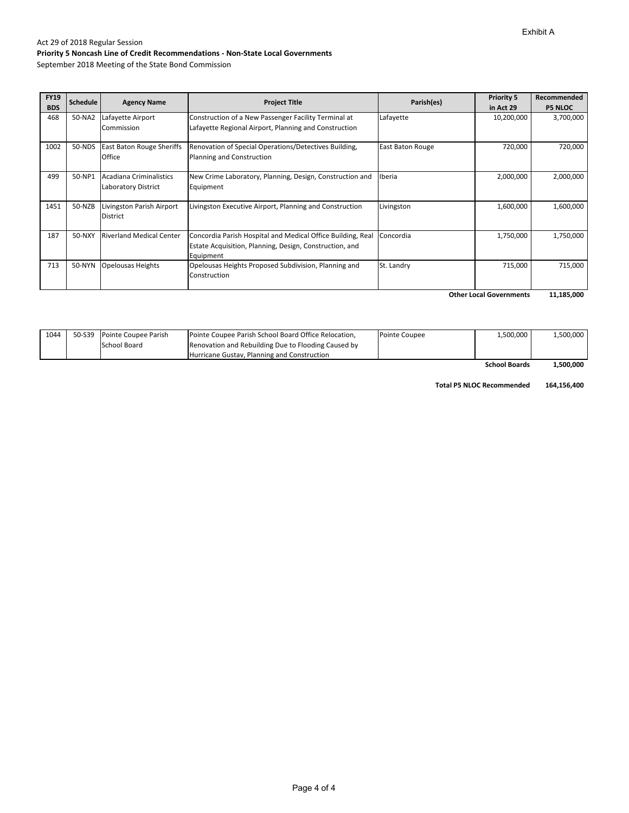September 2018 Meeting of the State Bond Commission

| <b>FY19</b> |                 |                                                       |                                                                                                                                     |                         | <b>Priority 5</b> | Recommended    |
|-------------|-----------------|-------------------------------------------------------|-------------------------------------------------------------------------------------------------------------------------------------|-------------------------|-------------------|----------------|
| <b>BDS</b>  | <b>Schedule</b> | <b>Agency Name</b>                                    | <b>Project Title</b>                                                                                                                | Parish(es)              | in Act 29         | <b>P5 NLOC</b> |
| 468         | 50-NA2          | Lafayette Airport<br>Commission                       | Construction of a New Passenger Facility Terminal at<br>Lafayette Regional Airport, Planning and Construction                       | Lafayette               | 10,200,000        | 3,700,000      |
| 1002        | 50-NDS          | <b>East Baton Rouge Sheriffs</b><br>Office            | Renovation of Special Operations/Detectives Building,<br>Planning and Construction                                                  | <b>East Baton Rouge</b> | 720,000           | 720,000        |
| 499         | 50-NP1          | Acadiana Criminalistics<br><b>Laboratory District</b> | New Crime Laboratory, Planning, Design, Construction and<br>Equipment                                                               | Iberia                  | 2,000,000         | 2,000,000      |
| 1451        | 50-NZB          | Livingston Parish Airport<br><b>District</b>          | Livingston Executive Airport, Planning and Construction                                                                             | Livingston              | 1,600,000         | 1,600,000      |
| 187         | 50-NXY          | <b>Riverland Medical Center</b>                       | Concordia Parish Hospital and Medical Office Building, Real<br>Estate Acquisition, Planning, Design, Construction, and<br>Equipment | Concordia               | 1,750,000         | 1,750,000      |
| 713         | 50-NYN          | <b>Opelousas Heights</b>                              | Opelousas Heights Proposed Subdivision, Planning and<br>Construction                                                                | St. Landry              | 715,000           | 715,000        |

**11,185,000 Other Local Governments**

| 1044 | 50-S39 Pointe Coupee Parish | Pointe Coupee Parish School Board Office Relocation, | Pointe Coupee | 1,500,000     | 1,500,000      |
|------|-----------------------------|------------------------------------------------------|---------------|---------------|----------------|
|      | School Board                | Renovation and Rebuilding Due to Flooding Caused by  |               |               |                |
|      |                             | <b>Hurricane Gustay, Planning and Construction</b>   |               |               |                |
|      |                             |                                                      |               | Cohool Doorde | <b>EOO OOO</b> |

 **1,500,000 School Boards**

**Total P5 NLOC Recommended 164,156,400**